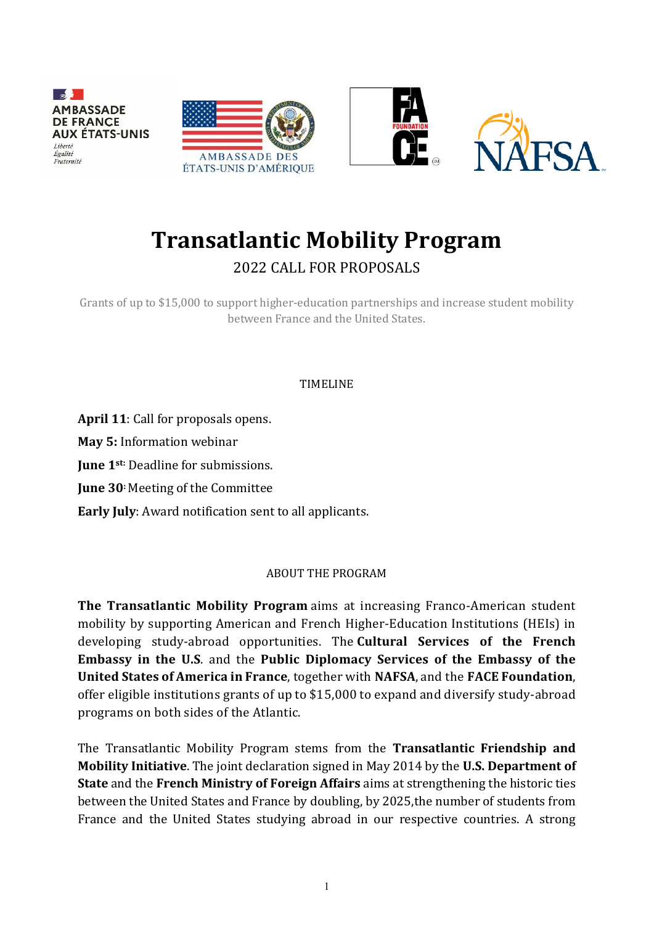







# **Transatlantic Mobility Program**

## 2022 CALL FOR PROPOSALS

Grants of up to \$15,000 to support higher-education partnerships and increase student mobility between France and the United States.

## TIMELINE

**April 11**: Call for proposals opens.

**May 5:** Information webinar

**June 1st: Deadline for submissions.** 

**June 30:** Meeting of the Committee

**Early July**: Award notification sent to all applicants.

## ABOUT THE PROGRAM

**The Transatlantic Mobility Program** aims at increasing Franco-American student mobility by supporting American and French Higher-Education Institutions (HEIs) in developing study-abroad opportunities. The **Cultural Services of the French Embassy in the U.S**. and the **Public Diplomacy Services of the Embassy of the United States of America in France**, together with **NAFSA**, and the **FACE Foundation**, offer eligible institutions grants of up to \$15,000 to expand and diversify study-abroad programs on both sides of the Atlantic.

The Transatlantic Mobility Program stems from the **Transatlantic Friendship and Mobility Initiative**. The joint declaration signed in May 2014 by the **U.S. Department of State** and the **French Ministry of Foreign Affairs** aims at strengthening the historic ties between the United States and France by doubling, by 2025,the number of students from France and the United States studying abroad in our respective countries. A strong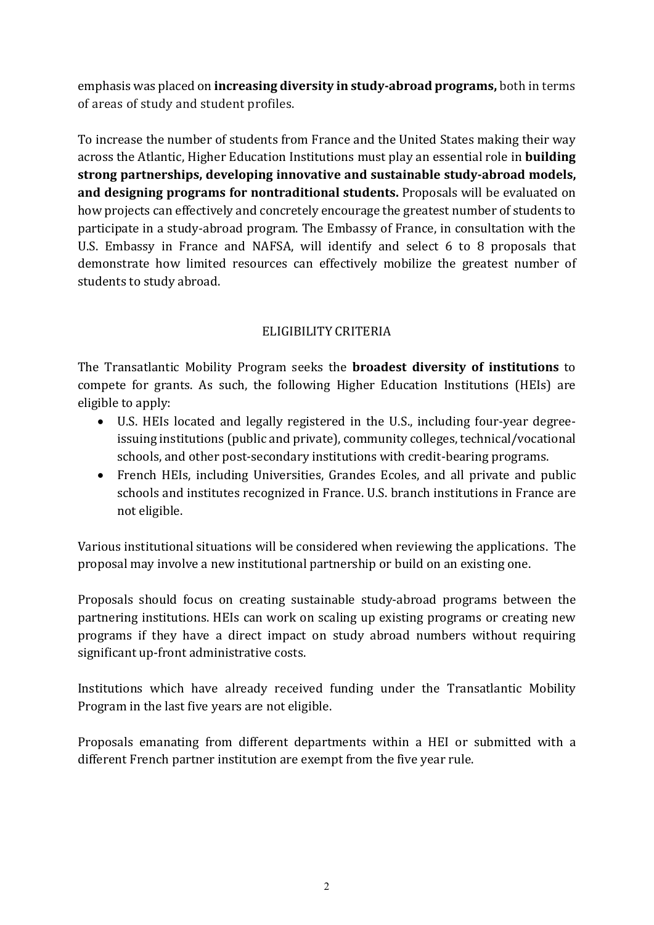emphasis was placed on **increasing diversity in study-abroad programs,** both in terms of areas of study and student profiles.

To increase the number of students from France and the United States making their way across the Atlantic, Higher Education Institutions must play an essential role in **building strong partnerships, developing innovative and sustainable study-abroad models, and designing programs for nontraditional students.** Proposals will be evaluated on how projects can effectively and concretely encourage the greatest number of students to participate in a study-abroad program. The Embassy of France, in consultation with the U.S. Embassy in France and NAFSA, will identify and select 6 to 8 proposals that demonstrate how limited resources can effectively mobilize the greatest number of students to study abroad.

## ELIGIBILITY CRITERIA

The Transatlantic Mobility Program seeks the **broadest diversity of institutions** to compete for grants. As such, the following Higher Education Institutions (HEIs) are eligible to apply:

- U.S. HEIs located and legally registered in the U.S., including four-year degreeissuing institutions (public and private), community colleges, technical/vocational schools, and other post-secondary institutions with credit-bearing programs.
- French HEIs, including Universities, Grandes Ecoles, and all private and public schools and institutes recognized in France. U.S. branch institutions in France are not eligible.

Various institutional situations will be considered when reviewing the applications. The proposal may involve a new institutional partnership or build on an existing one.

Proposals should focus on creating sustainable study-abroad programs between the partnering institutions. HEIs can work on scaling up existing programs or creating new programs if they have a direct impact on study abroad numbers without requiring significant up-front administrative costs.

Institutions which have already received funding under the Transatlantic Mobility Program in the last five years are not eligible.

Proposals emanating from different departments within a HEI or submitted with a different French partner institution are exempt from the five year rule.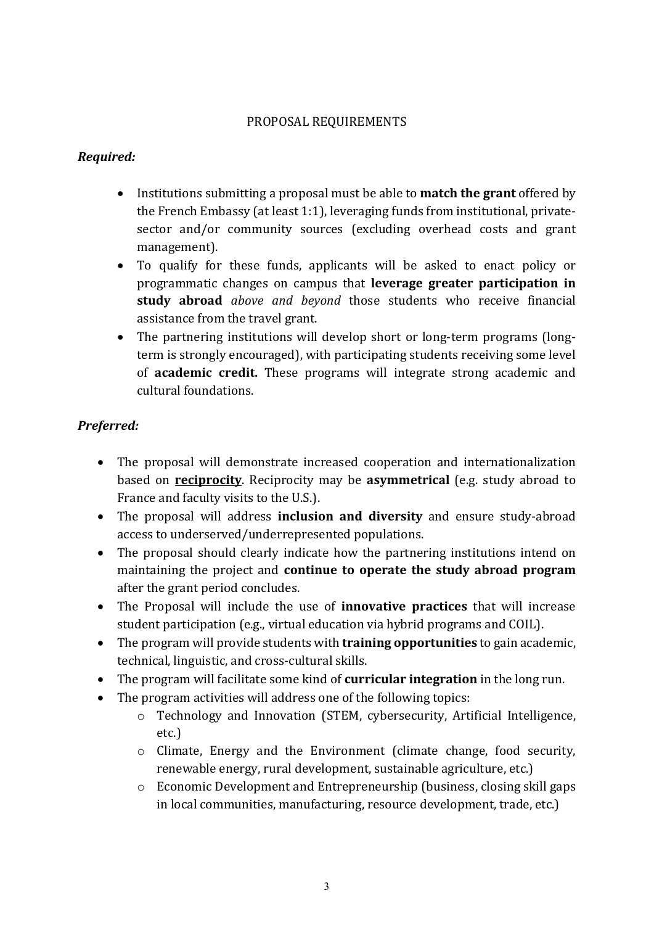#### PROPOSAL REQUIREMENTS

## *Required:*

- Institutions submitting a proposal must be able to **match the grant** offered by the French Embassy (at least 1:1), leveraging funds from institutional, privatesector and/or community sources (excluding overhead costs and grant management).
- To qualify for these funds, applicants will be asked to enact policy or programmatic changes on campus that **leverage greater participation in study abroad** *above and beyond* those students who receive financial assistance from the travel grant.
- The partnering institutions will develop short or long-term programs (longterm is strongly encouraged), with participating students receiving some level of **academic credit.** These programs will integrate strong academic and cultural foundations.

## *Preferred:*

- The proposal will demonstrate increased cooperation and internationalization based on **reciprocity**. Reciprocity may be **asymmetrical** (e.g. study abroad to France and faculty visits to the U.S.).
- The proposal will address **inclusion and diversity** and ensure study-abroad access to underserved/underrepresented populations.
- The proposal should clearly indicate how the partnering institutions intend on maintaining the project and **continue to operate the study abroad program**  after the grant period concludes.
- The Proposal will include the use of **innovative practices** that will increase student participation (e.g., virtual education via hybrid programs and COIL).
- The program will provide students with **training opportunities** to gain academic, technical, linguistic, and cross-cultural skills.
- The program will facilitate some kind of **curricular integration** in the long run.
- The program activities will address one of the following topics:
	- o Technology and Innovation (STEM, cybersecurity, Artificial Intelligence, etc.)
	- o Climate, Energy and the Environment (climate change, food security, renewable energy, rural development, sustainable agriculture, etc.)
	- o Economic Development and Entrepreneurship (business, closing skill gaps in local communities, manufacturing, resource development, trade, etc.)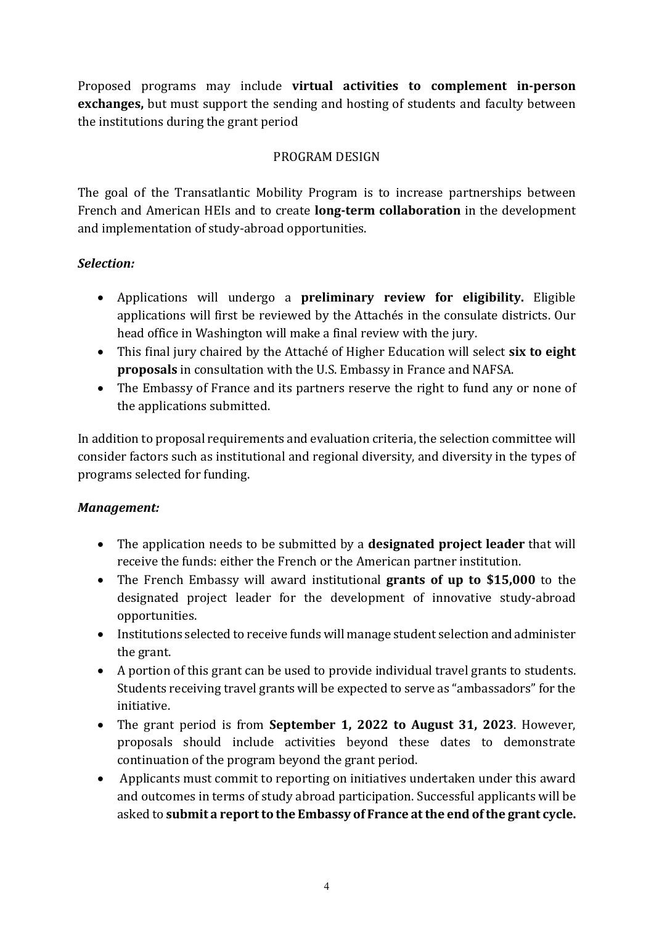Proposed programs may include **virtual activities to complement in-person exchanges,** but must support the sending and hosting of students and faculty between the institutions during the grant period

## PROGRAM DESIGN

The goal of the Transatlantic Mobility Program is to increase partnerships between French and American HEIs and to create **long-term collaboration** in the development and implementation of study-abroad opportunities.

## *Selection:*

- Applications will undergo a **preliminary review for eligibility.** Eligible applications will first be reviewed by the Attachés in the consulate districts. Our head office in Washington will make a final review with the jury.
- This final jury chaired by the Attaché of Higher Education will select **six to eight proposals** in consultation with the U.S. Embassy in France and NAFSA.
- The Embassy of France and its partners reserve the right to fund any or none of the applications submitted.

In addition to proposal requirements and evaluation criteria, the selection committee will consider factors such as institutional and regional diversity, and diversity in the types of programs selected for funding.

## *Management:*

- The application needs to be submitted by a **designated project leader** that will receive the funds: either the French or the American partner institution.
- The French Embassy will award institutional **grants of up to \$15,000** to the designated project leader for the development of innovative study-abroad opportunities.
- Institutions selected to receive funds will manage student selection and administer the grant.
- A portion of this grant can be used to provide individual travel grants to students. Students receiving travel grants will be expected to serve as "ambassadors" for the initiative.
- The grant period is from **September 1, 2022 to August 31, 2023**. However, proposals should include activities beyond these dates to demonstrate continuation of the program beyond the grant period.
- Applicants must commit to reporting on initiatives undertaken under this award and outcomes in terms of study abroad participation. Successful applicants will be asked to **submit a report to the Embassy of France at the end of the grant cycle.**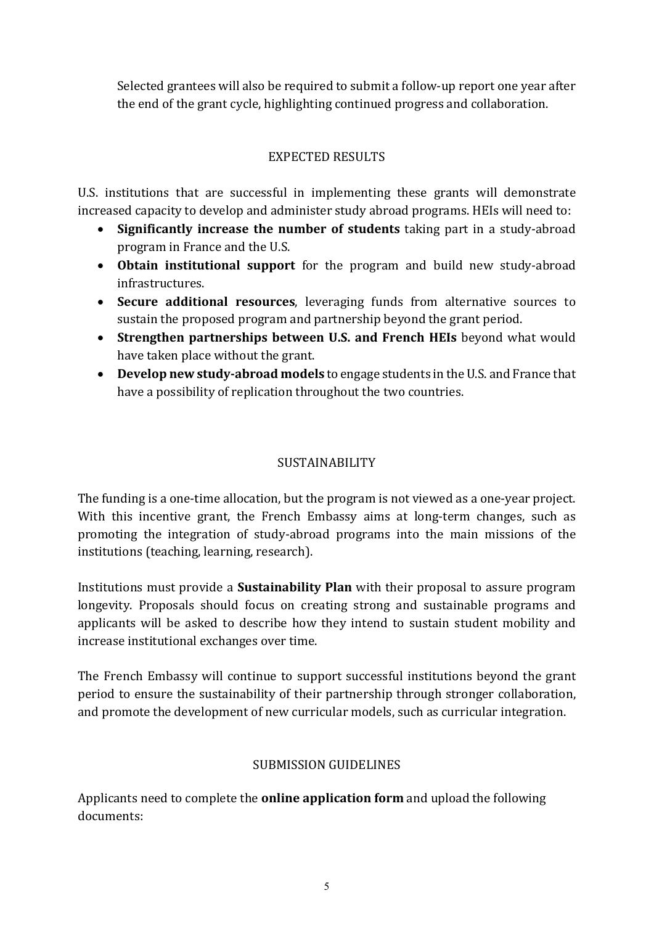Selected grantees will also be required to submit a follow-up report one year after the end of the grant cycle, highlighting continued progress and collaboration.

## EXPECTED RESULTS

U.S. institutions that are successful in implementing these grants will demonstrate increased capacity to develop and administer study abroad programs. HEIs will need to:

- **Significantly increase the number of students** taking part in a study-abroad program in France and the U.S.
- **Obtain institutional support** for the program and build new study-abroad infrastructures.
- **Secure additional resources**, leveraging funds from alternative sources to sustain the proposed program and partnership beyond the grant period.
- **Strengthen partnerships between U.S. and French HEIs** beyond what would have taken place without the grant.
- **Develop new study-abroad models** to engage students in the U.S. and France that have a possibility of replication throughout the two countries.

## SUSTAINABILITY

The funding is a one-time allocation, but the program is not viewed as a one-year project. With this incentive grant, the French Embassy aims at long-term changes, such as promoting the integration of study-abroad programs into the main missions of the institutions (teaching, learning, research).

Institutions must provide a **Sustainability Plan** with their proposal to assure program longevity. Proposals should focus on creating strong and sustainable programs and applicants will be asked to describe how they intend to sustain student mobility and increase institutional exchanges over time.

The French Embassy will continue to support successful institutions beyond the grant period to ensure the sustainability of their partnership through stronger collaboration, and promote the development of new curricular models, such as curricular integration.

## SUBMISSION GUIDELINES

Applicants need to complete the **online application form** and upload the following documents: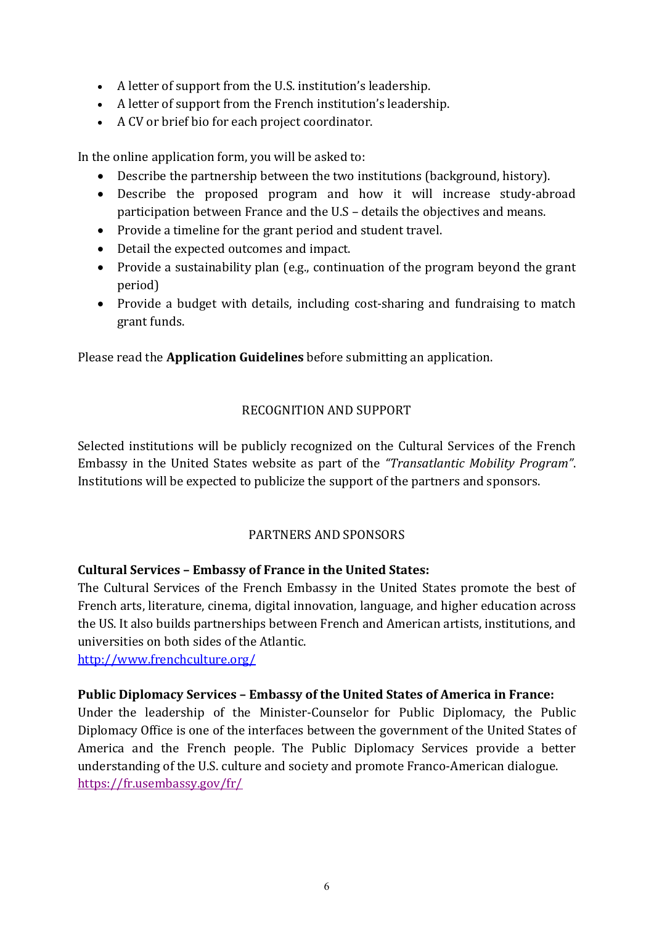- A letter of support from the U.S. institution's leadership.
- A letter of support from the French institution's leadership.
- A CV or brief bio for each project coordinator.

In the online application form, you will be asked to:

- Describe the partnership between the two institutions (background, history).
- Describe the proposed program and how it will increase study-abroad participation between France and the U.S – details the objectives and means.
- Provide a timeline for the grant period and student travel.
- Detail the expected outcomes and impact.
- Provide a sustainability plan (e.g., continuation of the program beyond the grant period)
- Provide a budget with details, including cost-sharing and fundraising to match grant funds.

Please read the **Application Guidelines** before submitting an application.

## RECOGNITION AND SUPPORT

Selected institutions will be publicly recognized on the Cultural Services of the French Embassy in the United States website as part of the *"Transatlantic Mobility Program"*. Institutions will be expected to publicize the support of the partners and sponsors.

## PARTNERS AND SPONSORS

## **Cultural Services – Embassy of France in the United States:**

The Cultural Services of the French Embassy in the United States promote the best of French arts, literature, cinema, digital innovation, language, and higher education across the US. It also builds partnerships between French and American artists, institutions, and universities on both sides of the Atlantic.

<http://www.frenchculture.org/>

## **Public Diplomacy Services – Embassy of the United States of America in France:**

Under the leadership of the Minister-Counselor for Public Diplomacy, the Public Diplomacy Office is one of the interfaces between the government of the United States of America and the French people. The Public Diplomacy Services provide a better understanding of the U.S. culture and society and promote Franco-American dialogue. <https://fr.usembassy.gov/fr/>